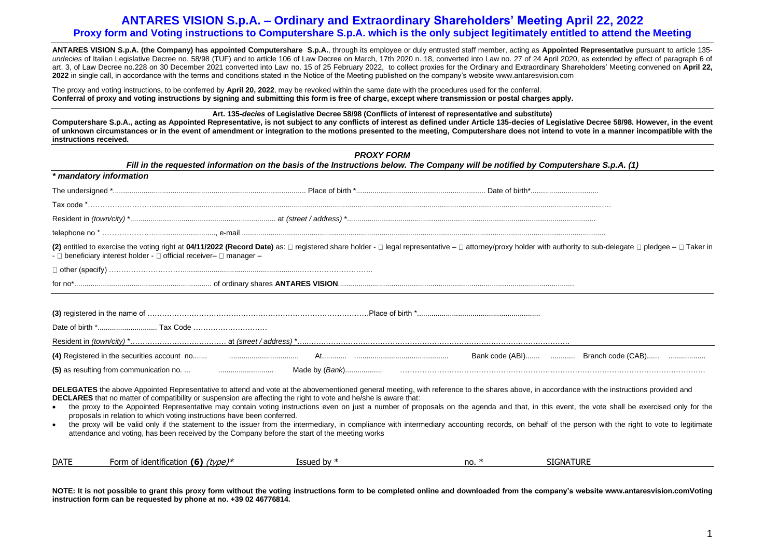**ANTARES VISION S.p.A. (the Company) has appointed Computershare S.p.A.**, through its employee or duly entrusted staff member, acting as **Appointed Representative** pursuant to article 135 *undecies* of Italian Legislative Decree no. 58/98 (TUF) and to article 106 of Law Decree on March, 17th 2020 n. 18, converted into Law no. 27 of 24 April 2020, as extended by effect of paragraph 6 of art. 3, of Law Decree no.228 on 30 December 2021 converted into Law no. 15 of 25 February 2022, to collect proxies for the Ordinary and Extraordinary Shareholders' Meeting convened on **April 22, 2022** in single call, in accordance with the terms and conditions stated in the Notice of the Meeting published on the company's website www.antaresvision.com

The proxy and voting instructions, to be conferred by **April 20, 2022**, may be revoked within the same date with the procedures used for the conferral. **Conferral of proxy and voting instructions by signing and submitting this form is free of charge, except where transmission or postal charges apply.**

**Art. 135-***decies* **of Legislative Decree 58/98 (Conflicts of interest of representative and substitute)** 

**Computershare S.p.A., acting as Appointed Representative, is not subject to any conflicts of interest as defined under Article 135-decies of Legislative Decree 58/98. However, in the event of unknown circumstances or in the event of amendment or integration to the motions presented to the meeting, Computershare does not intend to vote in a manner incompatible with the instructions received.**

|                        |                                                                                                                                                                          | <b>PROXY FORM</b><br>Fill in the requested information on the basis of the Instructions below. The Company will be notified by Computershare S.p.A. (1)                                                                                                                                                         |         |                                                                                                                                                                                                                                                                                                                                                                                                     |
|------------------------|--------------------------------------------------------------------------------------------------------------------------------------------------------------------------|-----------------------------------------------------------------------------------------------------------------------------------------------------------------------------------------------------------------------------------------------------------------------------------------------------------------|---------|-----------------------------------------------------------------------------------------------------------------------------------------------------------------------------------------------------------------------------------------------------------------------------------------------------------------------------------------------------------------------------------------------------|
|                        | * mandatory information                                                                                                                                                  |                                                                                                                                                                                                                                                                                                                 |         |                                                                                                                                                                                                                                                                                                                                                                                                     |
|                        |                                                                                                                                                                          |                                                                                                                                                                                                                                                                                                                 |         |                                                                                                                                                                                                                                                                                                                                                                                                     |
|                        |                                                                                                                                                                          |                                                                                                                                                                                                                                                                                                                 |         |                                                                                                                                                                                                                                                                                                                                                                                                     |
|                        |                                                                                                                                                                          |                                                                                                                                                                                                                                                                                                                 |         |                                                                                                                                                                                                                                                                                                                                                                                                     |
|                        |                                                                                                                                                                          |                                                                                                                                                                                                                                                                                                                 |         |                                                                                                                                                                                                                                                                                                                                                                                                     |
|                        | - Deneficiary interest holder - Dofficial receiver- D manager-                                                                                                           |                                                                                                                                                                                                                                                                                                                 |         | (2) entitled to exercise the voting right at 04/11/2022 (Record Date) as: □ registered share holder - □ legal representative - □ attorney/proxy holder with authority to sub-delegate □ pledgee - □ Taker in                                                                                                                                                                                        |
|                        |                                                                                                                                                                          |                                                                                                                                                                                                                                                                                                                 |         |                                                                                                                                                                                                                                                                                                                                                                                                     |
|                        |                                                                                                                                                                          |                                                                                                                                                                                                                                                                                                                 |         |                                                                                                                                                                                                                                                                                                                                                                                                     |
|                        |                                                                                                                                                                          |                                                                                                                                                                                                                                                                                                                 |         |                                                                                                                                                                                                                                                                                                                                                                                                     |
|                        |                                                                                                                                                                          |                                                                                                                                                                                                                                                                                                                 |         |                                                                                                                                                                                                                                                                                                                                                                                                     |
|                        |                                                                                                                                                                          |                                                                                                                                                                                                                                                                                                                 |         |                                                                                                                                                                                                                                                                                                                                                                                                     |
| $\bullet$<br>$\bullet$ | proposals in relation to which voting instructions have been conferred.<br>attendance and voting, has been received by the Company before the start of the meeting works | DELEGATES the above Appointed Representative to attend and vote at the abovementioned general meeting, with reference to the shares above, in accordance with the instructions provided and<br>DECLARES that no matter of compatibility or suspension are affecting the right to vote and he/she is aware that: |         | the proxy to the Appointed Representative may contain voting instructions even on just a number of proposals on the agenda and that, in this event, the vote shall be exercised only for the<br>the proxy will be valid only if the statement to the issuer from the intermediary, in compliance with intermediary accounting records, on behalf of the person with the right to vote to legitimate |
| <b>DATE</b>            | Form of identification (6) $(type)*$                                                                                                                                     | Issued by $*$                                                                                                                                                                                                                                                                                                   | no. $*$ | <b>SIGNATURE</b>                                                                                                                                                                                                                                                                                                                                                                                    |

**NOTE: It is not possible to grant this proxy form without the voting instructions form to be completed online and downloaded from the company's website www.antaresvision.comVoting instruction form can be requested by phone at no. +39 02 46776814.**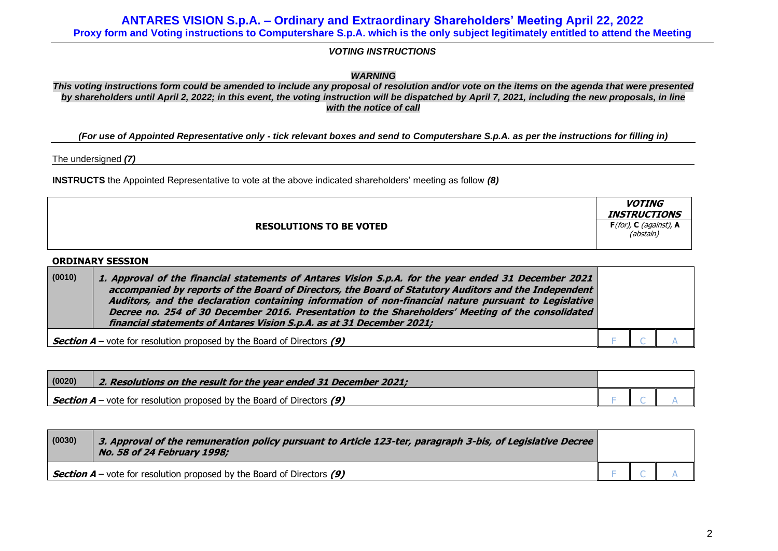*VOTING INSTRUCTIONS*

*WARNING*

*This voting instructions form could be amended to include any proposal of resolution and/or vote on the items on the agenda that were presented by shareholders until April 2, 2022; in this event, the voting instruction will be dispatched by April 7, 2021, including the new proposals, in line with the notice of call*

*(For use of Appointed Representative only - tick relevant boxes and send to Computershare S.p.A. as per the instructions for filling in)*

The undersigned *(7)*

**INSTRUCTS** the Appointed Representative to vote at the above indicated shareholders' meeting as follow *(8)*

|                                | <b>VOTING</b><br><b>INSTRUCTIONS</b>       |
|--------------------------------|--------------------------------------------|
| <b>RESOLUTIONS TO BE VOTED</b> | $F($ for $)$ , C (against), A<br>(abstain) |

## **ORDINARY SESSION**

| (0010)                                                                          | 1. Approval of the financial statements of Antares Vision S.p.A. for the year ended 31 December 2021<br>accompanied by reports of the Board of Directors, the Board of Statutory Auditors and the Independent<br>Auditors, and the declaration containing information of non-financial nature pursuant to Legislative<br>Decree no. 254 of 30 December 2016. Presentation to the Shareholders' Meeting of the consolidated<br>financial statements of Antares Vision S.p.A. as at 31 December 2021; |  |  |
|---------------------------------------------------------------------------------|-----------------------------------------------------------------------------------------------------------------------------------------------------------------------------------------------------------------------------------------------------------------------------------------------------------------------------------------------------------------------------------------------------------------------------------------------------------------------------------------------------|--|--|
| <b>Section A</b> – vote for resolution proposed by the Board of Directors $(9)$ |                                                                                                                                                                                                                                                                                                                                                                                                                                                                                                     |  |  |

| (0020) | $\mid$ 2. Resolutions on the result for the year ended 31 December 2021;             |  |  |
|--------|--------------------------------------------------------------------------------------|--|--|
|        | $\frac{1}{2}$ Section A – vote for resolution proposed by the Board of Directors (9) |  |  |

| (0030) | 3. Approval of the remuneration policy pursuant to Article 123-ter, paragraph 3-bis, of Legislative Decree<br>No. 58 of 24 February 1998; |  |  |  |
|--------|-------------------------------------------------------------------------------------------------------------------------------------------|--|--|--|
|        | Section $A$ – vote for resolution proposed by the Board of Directors $(9)$                                                                |  |  |  |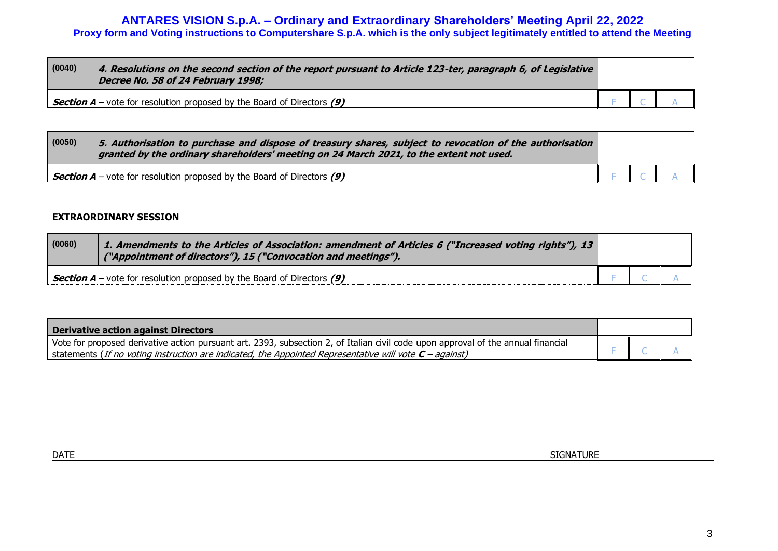| (0040)                                                                        | 4. Resolutions on the second section of the report pursuant to Article 123-ter, paragraph 6, of Legislative<br>Decree No. 58 of 24 February 1998; |  |  |
|-------------------------------------------------------------------------------|---------------------------------------------------------------------------------------------------------------------------------------------------|--|--|
| <b>Section A</b> – vote for resolution proposed by the Board of Directors (9) |                                                                                                                                                   |  |  |

| (0050) | $\mid$ 5. Authorisation to purchase and dispose of treasury shares, subject to revocation of the authorisation $\mid$<br>granted by the ordinary shareholders' meeting on 24 March 2021, to the extent not used. |  |  |  |
|--------|------------------------------------------------------------------------------------------------------------------------------------------------------------------------------------------------------------------|--|--|--|
|        | Section $A$ – vote for resolution proposed by the Board of Directors $(9)$                                                                                                                                       |  |  |  |

## **EXTRAORDINARY SESSION**

| (0060) | 1. Amendments to the Articles of Association: amendment of Articles 6 ("Increased voting rights"), 13  <br>("Appointment of directors"), 15 ("Convocation and meetings"). |  |  |
|--------|---------------------------------------------------------------------------------------------------------------------------------------------------------------------------|--|--|
|        | Section $A$ – vote for resolution proposed by the Board of Directors (9)                                                                                                  |  |  |

| Derivative action against Directors                                                                                               |  |  |
|-----------------------------------------------------------------------------------------------------------------------------------|--|--|
| Vote for proposed derivative action pursuant art. 2393, subsection 2, of Italian civil code upon approval of the annual financial |  |  |
| I statements (If no voting instruction are indicated, the Appointed Representative will vote $C$ – against)                       |  |  |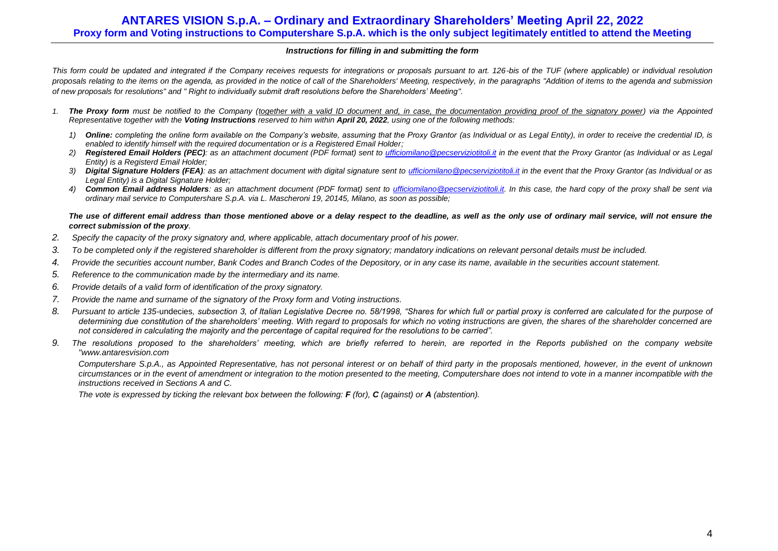### *Instructions for filling in and submitting the form*

*This form could be updated and integrated if the Company receives requests for integrations or proposals pursuant to art. 126-bis of the TUF (where applicable) or individual resolution proposals relating to the items on the agenda, as provided in the notice of call of the Shareholders' Meeting, respectively, in the paragraphs "Addition of items to the agenda and submission of new proposals for resolutions" and " Right to individually submit draft resolutions before the Shareholders' Meeting".*

- *1. The Proxy form must be notified to the Company (together with a valid ID document and, in case, the documentation providing proof of the signatory power) via the Appointed Representative together with the Voting Instructions reserved to him within April 20, 2022, using one of the following methods:*
	- *1) Online: completing the online form available on the Company's website, assuming that the Proxy Grantor (as Individual or as Legal Entity), in order to receive the credential ID, is enabled to identify himself with the required documentation or is a Registered Email Holder;*
	- *2) Registered Email Holders (PEC): as an attachment document (PDF format) sent to [ufficiomilano@pecserviziotitoli.it](mailto:xxxxx@pecserviziotitoli.it) in the event that the Proxy Grantor (as Individual or as Legal Entity) is a Registerd Email Holder;*
	- *3) Digital Signature Holders (FEA): as an attachment document with digital signature sent to [ufficiomilano@pecserviziotitoli.it](mailto:ufficiomilano@pecserviziotitoli.it) in the event that the Proxy Grantor (as Individual or as Legal Entity) is a Digital Signature Holder;*
	- *4) Common Email address Holders: as an attachment document (PDF format) sent to [ufficiomilano@pecserviziotitoli.it.](mailto:ufficiomilano@pecserviziotitoli.it) In this case, the hard copy of the proxy shall be sent via ordinary mail service to Computershare S.p.A. via L. Mascheroni 19, 20145, Milano, as soon as possible;*

#### The use of different email address than those mentioned above or a delay respect to the deadline, as well as the only use of ordinary mail service, will not ensure the *correct submission of the proxy.*

- *2. Specify the capacity of the proxy signatory and, where applicable, attach documentary proof of his power.*
- *3. To be completed only if the registered shareholder is different from the proxy signatory; mandatory indications on relevant personal details must be included.*
- *4. Provide the securities account number, Bank Codes and Branch Codes of the Depository, or in any case its name, available in the securities account statement.*
- *5. Reference to the communication made by the intermediary and its name.*
- *6. Provide details of a valid form of identification of the proxy signatory.*
- *7. Provide the name and surname of the signatory of the Proxy form and Voting instructions.*
- *8. Pursuant to article 135-*undecies*, subsection 3, of Italian Legislative Decree no. 58/1998, "Shares for which full or partial proxy is conferred are calculated for the purpose of determining due constitution of the shareholders' meeting. With regard to proposals for which no voting instructions are given, the shares of the shareholder concerned are not considered in calculating the majority and the percentage of capital required for the resolutions to be carried".*
- *9. The resolutions proposed to the shareholders' meeting, which are briefly referred to herein, are reported in the Reports published on the company website "www.antaresvision.com*

*Computershare S.p.A., as Appointed Representative, has not personal interest or on behalf of third party in the proposals mentioned, however, in the event of unknown circumstances or in the event of amendment or integration to the motion presented to the meeting, Computershare does not intend to vote in a manner incompatible with the instructions received in Sections A and C.*

*The vote is expressed by ticking the relevant box between the following: F (for), C (against) or A (abstention).*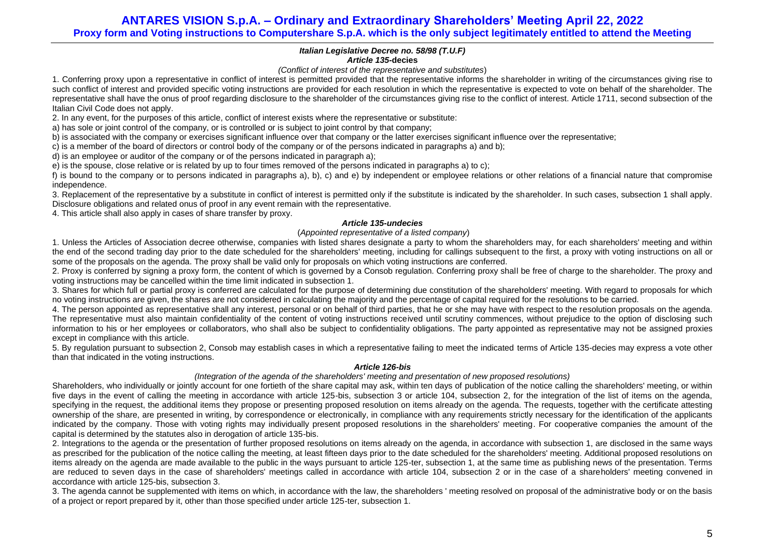### *Italian Legislative Decree no. 58/98 (T.U.F) Article 135-***decies**

### *(Conflict of interest of the representative and substitutes*)

1. Conferring proxy upon a representative in conflict of interest is permitted provided that the representative informs the shareholder in writing of the circumstances giving rise to such conflict of interest and provided specific voting instructions are provided for each resolution in which the representative is expected to vote on behalf of the shareholder. The representative shall have the onus of proof regarding disclosure to the shareholder of the circumstances giving rise to the conflict of interest. Article 1711, second subsection of the Italian Civil Code does not apply.

2. In any event, for the purposes of this article, conflict of interest exists where the representative or substitute:

a) has sole or joint control of the company, or is controlled or is subject to joint control by that company;

b) is associated with the company or exercises significant influence over that company or the latter exercises significant influence over the representative;

c) is a member of the board of directors or control body of the company or of the persons indicated in paragraphs a) and b);

d) is an employee or auditor of the company or of the persons indicated in paragraph a);

e) is the spouse, close relative or is related by up to four times removed of the persons indicated in paragraphs a) to c);

f) is bound to the company or to persons indicated in paragraphs a), b), c) and e) by independent or employee relations or other relations of a financial nature that compromise independence.

3. Replacement of the representative by a substitute in conflict of interest is permitted only if the substitute is indicated by the shareholder. In such cases, subsection 1 shall apply. Disclosure obligations and related onus of proof in any event remain with the representative.

4. This article shall also apply in cases of share transfer by proxy.

### *Article 135-undecies*

### (*Appointed representative of a listed company*)

1. Unless the Articles of Association decree otherwise, companies with listed shares designate a party to whom the shareholders may, for each shareholders' meeting and within the end of the second trading day prior to the date scheduled for the shareholders' meeting, including for callings subsequent to the first, a proxy with voting instructions on all or some of the proposals on the agenda. The proxy shall be valid only for proposals on which voting instructions are conferred.

2. Proxy is conferred by signing a proxy form, the content of which is governed by a Consob regulation. Conferring proxy shall be free of charge to the shareholder. The proxy and voting instructions may be cancelled within the time limit indicated in subsection 1.

3. Shares for which full or partial proxy is conferred are calculated for the purpose of determining due constitution of the shareholders' meeting. With regard to proposals for which no voting instructions are given, the shares are not considered in calculating the majority and the percentage of capital required for the resolutions to be carried.

4. The person appointed as representative shall any interest, personal or on behalf of third parties, that he or she may have with respect to the resolution proposals on the agenda. The representative must also maintain confidentiality of the content of voting instructions received until scrutiny commences, without prejudice to the option of disclosing such information to his or her employees or collaborators, who shall also be subject to confidentiality obligations. The party appointed as representative may not be assigned proxies except in compliance with this article.

5. By regulation pursuant to subsection 2, Consob may establish cases in which a representative failing to meet the indicated terms of Article 135-decies may express a vote other than that indicated in the voting instructions.

### *Article 126-bis*

### *(Integration of the agenda of the shareholders' meeting and presentation of new proposed resolutions)*

Shareholders, who individually or jointly account for one fortieth of the share capital may ask, within ten days of publication of the notice calling the shareholders' meeting, or within five days in the event of calling the meeting in accordance with article 125-bis, subsection 3 or article 104, subsection 2, for the integration of the list of items on the agenda, specifying in the request, the additional items they propose or presenting proposed resolution on items already on the agenda. The requests, together with the certificate attesting ownership of the share, are presented in writing, by correspondence or electronically, in compliance with any requirements strictly necessary for the identification of the applicants indicated by the company. Those with voting rights may individually present proposed resolutions in the shareholders' meeting. For cooperative companies the amount of the capital is determined by the statutes also in derogation of article 13[5-bis.](http://www.consob.it/mainen/documenti/english/laws/fr_decree58_1998.htm#sdfootnote595bissym) 

2. Integrations to the agenda or the presentation of further proposed resolutions on items already on the agenda, in accordance with subsection 1, are disclosed in the same ways as prescribed for the publication of the notice calling the meeting, at least fifteen days prior to the date scheduled for the shareholders' meeting. Additional proposed resolutions on items already on the agenda are made available to the public in the ways pursuant to article 125-ter, subsection 1, at the same time as publishing news of the presentation. Terms are reduced to seven days in the case of shareholders' meetings called in accordance with article 104, subsection 2 or in the case of a shareholders' meeting convened in accordance with article 125-bis, subsection 3.

3. The agenda cannot be supplemented with items on which, in accordance with the law, the shareholders ' meeting resolved on proposal of the administrative body or on the basis of a project or report prepared by it, other than those specified under article 125-ter, subsection 1.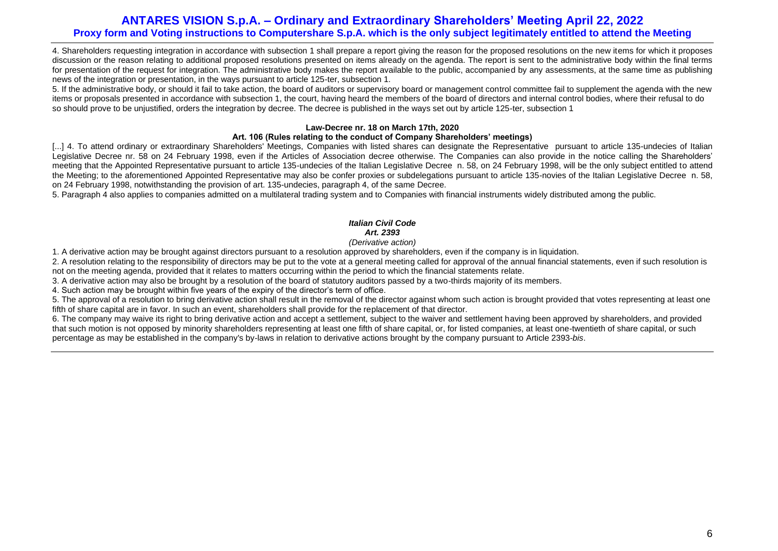4. Shareholders requesting integration in accordance with subsection 1 shall prepare a report giving the reason for the proposed resolutions on the new items for which it proposes discussion or the reason relating to additional proposed resolutions presented on items already on the agenda. The report is sent to the administrative body within the final terms for presentation of the request for integration. The administrative body makes the report available to the public, accompanied by any assessments, at the same time as publishing news of the integration or presentation, in the ways pursuant to article 125-ter, subsection 1.

5. If the administrative body, or should it fail to take action, the board of auditors or supervisory board or management control committee fail to supplement the agenda with the new items or proposals presented in accordance with subsection 1, the court, having heard the members of the board of directors and internal control bodies, where their refusal to do so should prove to be unjustified, orders the integration by decree. The decree is published in the ways set out by article 125-ter, subsection 1

## **Law-Decree nr. 18 on March 17th, 2020**

### **Art. 106 (Rules relating to the conduct of Company Shareholders' meetings)**

[...] 4. To attend ordinary or extraordinary Shareholders' Meetings, Companies with listed shares can designate the Representative pursuant to article 135-undecies of Italian Legislative Decree nr. 58 on 24 February 1998, even if the Articles of Association decree otherwise. The Companies can also provide in the notice calling the Shareholders' meeting that the Appointed Representative pursuant to article 135-undecies of the Italian Legislative Decree n. 58, on 24 February 1998, will be the only subject entitled to attend the Meeting; to the aforementioned Appointed Representative may also be confer proxies or subdelegations pursuant to article 135-novies of the Italian Legislative Decree n. 58, on 24 February 1998, notwithstanding the provision of art. 135-undecies, paragraph 4, of the same Decree.

5. Paragraph 4 also applies to companies admitted on a multilateral trading system and to Companies with financial instruments widely distributed among the public.

## *Italian Civil Code Art. 2393*

### *(Derivative action)*

1. A derivative action may be brought against directors pursuant to a resolution approved by shareholders, even if the company is in liquidation.

2. A resolution relating to the responsibility of directors may be put to the vote at a general meeting called for approval of the annual financial statements, even if such resolution is not on the meeting agenda, provided that it relates to matters occurring within the period to which the financial statements relate.

3. A derivative action may also be brought by a resolution of the board of statutory auditors passed by a two-thirds majority of its members.

4. Such action may be brought within five years of the expiry of the director's term of office.

5. The approval of a resolution to bring derivative action shall result in the removal of the director against whom such action is brought provided that votes representing at least one fifth of share capital are in favor. In such an event, shareholders shall provide for the replacement of that director.

6. The company may waive its right to bring derivative action and accept a settlement, subject to the waiver and settlement having been approved by shareholders, and provided that such motion is not opposed by minority shareholders representing at least one fifth of share capital, or, for listed companies, at least one-twentieth of share capital, or such percentage as may be established in the company's by-laws in relation to derivative actions brought by the company pursuant to Article 2393-*bis*.